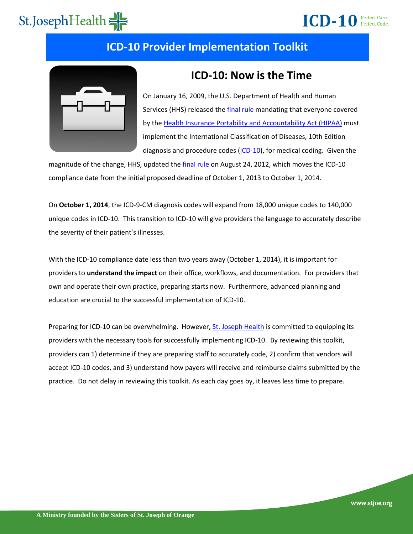## **ICD-10** Perfect Care.

#### **ICD-10 Provider Implementation Toolkit**



#### **ICD-10: Now is the Time**

On January 16, 2009, the U.S. Department of Health and Human Services (HHS) released th[e final rule](http://edocket.access.gpo.gov/2009/pdf/E9-743.pdf) mandating that everyone covered by th[e Health Insurance Portability and Accountability Act \(HIPAA\)](https://www.cms.gov/hipaageninfo/) must implement the International Classification of Diseases, 10th Edition diagnosis and procedure codes [\(ICD-10\)](https://www.cms.gov/ICD10/), for medical coding. Given the

magnitude of the change, HHS, updated th[e final rule](https://s3.amazonaws.com/public-inspection.federalregister.gov/2012-21238.pdf) on August 24, 2012, which moves the ICD-10 compliance date from the initial proposed deadline of October 1, 2013 to October 1, 2014.

On **October 1, 2014**, the ICD-9-CM diagnosis codes will expand from 18,000 unique codes to 140,000 unique codes in ICD-10. This transition to ICD-10 will give providers the language to accurately describe the severity of their patient's illnesses.

With the ICD-10 compliance date less than two years away (October 1, 2014), it is important for providers to **understand the impact** on their office, workflows, and documentation. For providers that own and operate their own practice, preparing starts now. Furthermore, advanced planning and education are crucial to the successful implementation of ICD-10.

Preparing for ICD-10 can be overwhelming. However, [St. Joseph Health](http://www.stjhs.org/) is committed to equipping its providers with the necessary tools for successfully implementing ICD-10. By reviewing this toolkit, providers can 1) determine if they are preparing staff to accurately code, 2) confirm that vendors will accept ICD-10 codes, and 3) understand how payers will receive and reimburse claims submitted by the practice. Do not delay in reviewing this toolkit. As each day goes by, it leaves less time to prepare.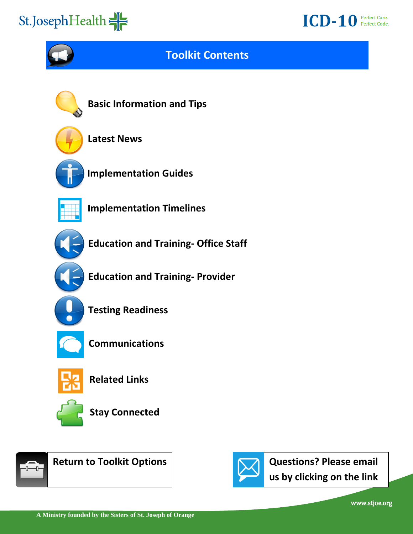### **ICD-10** Perfect Care.

<span id="page-1-0"></span>

#### **Toolkit Contents**



**[Basic Information and Tips](#page-2-0)**



**[Latest](#page-3-0) News**



**[Implementation Guides](#page-4-0)**



**[Implementation Timelines](#page-5-0)**



**[Education and Training-](#page-6-0) Office Staff**



**[Education and Training-](#page-7-0) Provider**



**[Testing Readiness](#page-8-0)**



**[Communications](#page-9-0)**



**[Related Links](#page-10-0)**



**[Stay Connected](#page-11-0)**



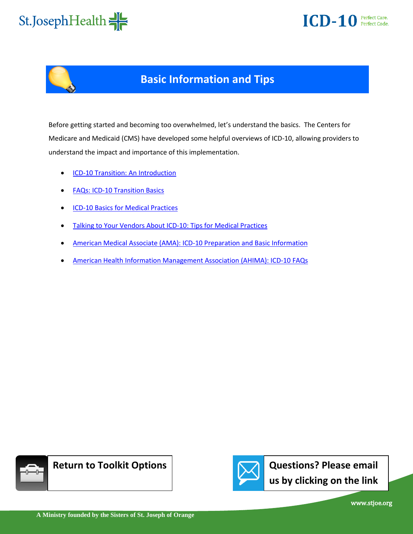<span id="page-2-0"></span>





### **Basic Information and Tips**

Before getting started and becoming too overwhelmed, let's understand the basics. The Centers for Medicare and Medicaid (CMS) have developed some helpful overviews of ICD-10, allowing providers to understand the impact and importance of this implementation.

- [ICD-10 Transition: An Introduction](http://www.cms.gov/Medicare/Coding/ICD10/Downloads/ICD10Introduction.pdf)
- [FAQs: ICD-10 Transition Basics](http://www.cms.gov/Medicare/Coding/ICD10/Downloads/ICD10FAQs.pdf)
- [ICD-10 Basics for Medical Practices](http://www.cms.gov/Medicare/Coding/ICD10/Downloads/ICD10BasicsforMedicalPractices.pdf)
- [Talking to Your Vendors About ICD-10: Tips for Medical Practices](http://www.cms.gov/Medicare/Coding/ICD10/Downloads/ICD10TalkingtoVendorforMedicalPractices.pdf)
- [American Medical Associate \(AMA\): ICD-10 Preparation and Basic Information](http://www.ama-assn.org/ama/pub/physician-resources/solutions-managing-your-practice/coding-billing-insurance/hipaahealth-insurance-portability-accountability-act/transaction-code-set-standards/icd10-code-set.page)
- [American Health Information Management Association \(AHIMA\): ICD-10 FAQs](http://www.ahima.org/icd10/faqs.aspx)



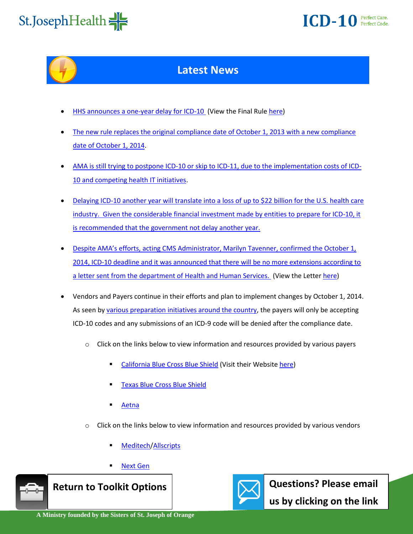<span id="page-3-0"></span>

### **ICD-10** Perfect Care.



#### **Latest News**

- [HHS announces a one-year delay for ICD-10](http://www.advisory.com/Daily-Briefing/2012/08/27/ICD-10-start-date-is-pushed-back-to-2014) (View the Final Rul[e here\)](https://s3.amazonaws.com/public-inspection.federalregister.gov/2012-21238.pdf)
- [The new rule replaces the original compliance date of October 1, 2013 with a new compliance](http://journal.ahima.org/2012/08/24/hhs-announces-icd-10-delayed-one-year/)  [date of October 1, 2014.](http://journal.ahima.org/2012/08/24/hhs-announces-icd-10-delayed-one-year/)
- [AMA is still trying to postpone ICD-10 or skip to ICD-11, due to the implementation costs of ICD-](http://www.ama-assn.org/resources/doc/washington/icd10-sign-on-letter-20dec2012.pdf)[10 and competing health IT initiatives.](http://www.ama-assn.org/resources/doc/washington/icd10-sign-on-letter-20dec2012.pdf)
- [Delaying ICD-10 another year will translate into a loss of up to \\$22 billion for the U.S. health care](http://journal.ahima.org/2013/01/23/ahima-icd-10-implementation-must-stay-on-track/)  [industry. Given the considerable financial investment made by entities to prepare for ICD-10, it](http://journal.ahima.org/2013/01/23/ahima-icd-10-implementation-must-stay-on-track/)  [is recommended that the government not delay another year.](http://journal.ahima.org/2013/01/23/ahima-icd-10-implementation-must-stay-on-track/)
- Despite AMA's efforts, [acting CMS Administrator, Marilyn Tavenner, confirmed the October 1,](http://journal.ahima.org/2013/02/27/cms-no-further-delays-in-icd-10-cmpcs-implementation/)  [2014, ICD-10 deadline and it was announced that there will be no more extensions according to](http://journal.ahima.org/2013/02/27/cms-no-further-delays-in-icd-10-cmpcs-implementation/)  [a letter sent from the department of Health and Human Services.](http://journal.ahima.org/2013/02/27/cms-no-further-delays-in-icd-10-cmpcs-implementation/) (View the Letter [here\)](http://ahima.org/downloads/pdfs/advocacy/HHS_ICD-10.pdf)
- Vendors and Payers continue in their efforts and plan to implement changes by October 1, 2014. As seen by [various preparation initiatives around the country,](http://www.govhealthit.com/news/klas-rates-emr-vendors-icd-10-readiness) the payers will only be accepting ICD-10 codes and any submissions of an ICD-9 code will be denied after the compliance date.
	- $\circ$  Click on the links below to view information and resources provided by various payers
		- [California Blue Cross Blue Shield](https://www.blueshieldca.com/provider/content_assets/documents/Announcements/ICD-10_FAQs_2012-Nov.pdf) (Visit their Websit[e here\)](https://www.blueshieldca.com/provider/about-this-site/announcements/icd-10.sp)
		- [Texas Blue Cross Blue Shield](http://www.bcbstx.com/provider/standards/icd.html)
		- [Aetna](http://www.aetna.com/healthcare-professionals/policies-guidelines/icd_10_faq.html)
	- $\circ$  Click on the links below to view information and resources provided by various vendors
		- [Meditech](http://home.meditech.com/en/d/newsroom/pages/0212icd10.htm)[/Allscripts](https://www.brainshark.com/allscripts/vu?pi=zHlz1A7bwoz3S3nz0&r3f1=)
		- [Next Gen](http://www.healthlanguage.com/press/nextgenjuly2012.html)



 **Return to Toolkit Options** 



**Questions? Please email** 

us by clicking on the link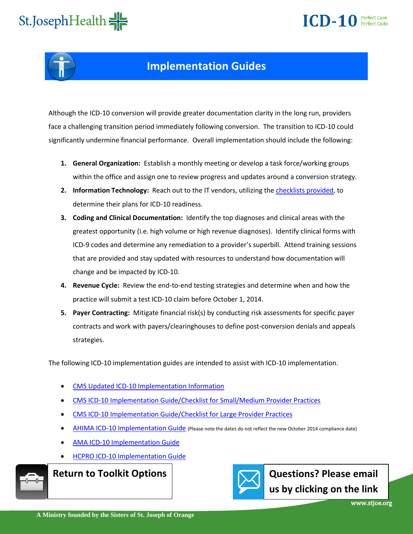## **ICD-10** Perfect Care.

# <span id="page-4-0"></span>St.JosephHealth



#### **Implementation Guides**

Although the ICD-10 conversion will provide greater documentation clarity in the long run, providers face a challenging transition period immediately following conversion. The transition to ICD-10 could significantly undermine financial performance. Overall implementation should include the following:

- **1. General Organization:** Establish a monthly meeting or develop a task force/working groups within the office and assign one to review progress and updates around a conversion strategy.
- **2. Information Technology:** Reach out to the IT vendors, utilizing the [checklists provided,](http://www.cms.gov/Medicare/Coding/ICD10/Downloads/ICD10TalkingtoVendorforMedicalPractices.pdf) to determine their plans for ICD-10 readiness.
- **3. Coding and Clinical Documentation:** Identify the top diagnoses and clinical areas with the greatest opportunity (i.e. high volume or high revenue diagnoses). Identify clinical forms with ICD-9 codes and determine any remediation to a provider's superbill. Attend training sessions that are provided and stay updated with resources to understand how documentation will change and be impacted by ICD-10.
- **4. Revenue Cycle:** Review the end-to-end testing strategies and determine when and how the practice will submit a test ICD-10 claim before October 1, 2014.
- **5. Payer Contracting:** Mitigate financial risk(s) by conducting risk assessments for specific payer contracts and work with payers/clearinghouses to define post-conversion denials and appeals strategies.

The following ICD-10 implementation guides are intended to assist with ICD-10 implementation.

- [CMS Updated ICD-10 Implementation Information](http://www.cms.gov/Outreach-and-Education/Medicare-Learning-Network-MLN/MLNMattersArticles/Downloads/SE1239.pdf)
- [CMS ICD-10 Implementation Guide/Checklist for Small/Medium Provider Practices](http://www.cms.gov/Medicare/Coding/ICD10/Downloads/ICD10SmallMediumChecklistTimeline.pdf)
- [CMS ICD-10 Implementation Guide/Checklist for Large Provider Practices](http://www.cms.gov/Medicare/Coding/ICD10/Downloads/ICD10LargePracticesChecklistTimeline.pdf)
- [AHIMA ICD-10 Implementation Guide](http://www.ahima.org/downloads/pdfs/resources/checklist.pdf) (Please note the dates do not reflect the new October 2014 compliance date)
- [AMA ICD-10 Implementation Guide](http://www.ama-assn.org/ama1/pub/upload/mm/399/icd10-timeline-fact-sheet.pdf)
- **[HCPRO ICD-10 Implementation Guide](http://www.hcpro.com/content/285109.pdf)**



**[Return to Toolkit Options](#page-1-0)**

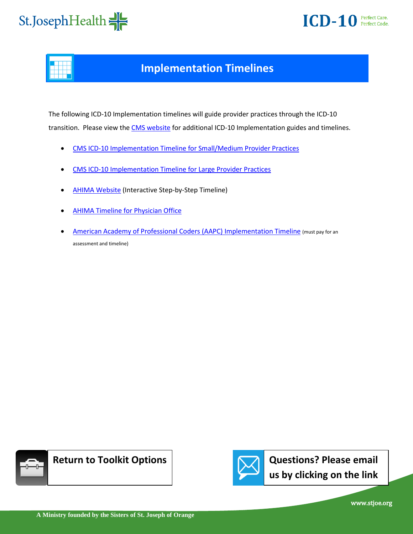

<span id="page-5-0"></span>

#### **Implementation Timelines**

The following ICD-10 Implementation timelines will guide provider practices through the ICD-10 transition. Please view the [CMS website](http://www.cms.gov/Medicare/Coding/ICD10/ICD-10ImplementationTimelines.html) for additional ICD-10 Implementation guides and timelines.

- [CMS ICD-10 Implementation Timeline for Small/Medium Provider Practices](http://www.cms.gov/Medicare/Coding/ICD10/Downloads/ICD10SmallMediumTimelineChart.pdf)
- [CMS ICD-10 Implementation Timeline for Large Provider Practices](http://www.cms.gov/Medicare/Coding/ICD10/Downloads/ICD10LargePracticesTimelineChart.pdf)
- [AHIMA Website \(](http://www.ahima.org/ICD10/default.aspx)Interactive Step-by-Step Timeline)
- [AHIMA Timeline for Physician Office](http://library.ahima.org/xpedio/groups/public/documents/ahima/bok1_049471.hcsp?dDocName=bok1_049471)
- [American Academy of Professional Coders \(AAPC\) Implementation Timeline](http://www.aapc.com/ICD-10/index.aspx) (must pay for an assessment and timeline)





**[Questions? Please email](mailto: ICD10@stjoe.org)  us by clicking on the link**

www.stjoe.org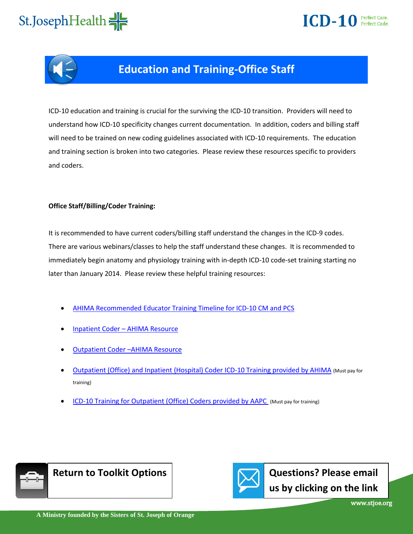## **ICD-10** Perfect Care.

# <span id="page-6-0"></span>St.JosephHealth



#### **Education and Training-Office Staff**

ICD-10 education and training is crucial for the surviving the ICD-10 transition. Providers will need to understand how ICD-10 specificity changes current documentation. In addition, coders and billing staff will need to be trained on new coding guidelines associated with ICD-10 requirements. The education and training section is broken into two categories. Please review these resources specific to providers and coders.

#### **Office Staff/Billing/Coder Training:**

It is recommended to have current coders/billing staff understand the changes in the ICD-9 codes. There are various webinars/classes to help the staff understand these changes. It is recommended to immediately begin anatomy and physiology training with in-depth ICD-10 code-set training starting no later than January 2014. Please review these helpful training resources:

- [AHIMA Recommended Educator Training Timeline for ICD-10 CM and PCS](http://library.ahima.org/xpedio/groups/public/documents/ahima/bok1_045931.hcsp?dDocName=bok1_045931)
- Inpatient Coder – [AHIMA Resource](http://library.ahima.org/xpedio/groups/public/documents/ahima/bok1_045928.hcsp?dDocName=bok1_045928)
- [Outpatient Coder](http://library.ahima.org/xpedio/groups/public/documents/ahima/bok1_045929.hcsp?dDocName=bok1_045929) –AHIMA Resource
- [Outpatient \(Office\) and Inpatient \(Hospital\) Coder ICD-10 Training provided by AHIMA](http://www.ahima.org/ContinuingEd/Campus/courseinfo/ICD10.aspx#begin) (Must pay for training)
- [ICD-10 Training for Outpatient \(Office\) Coders provided by AAPC](http://www.aapc.com/ICD-10/training.aspx) (Must pay for training)



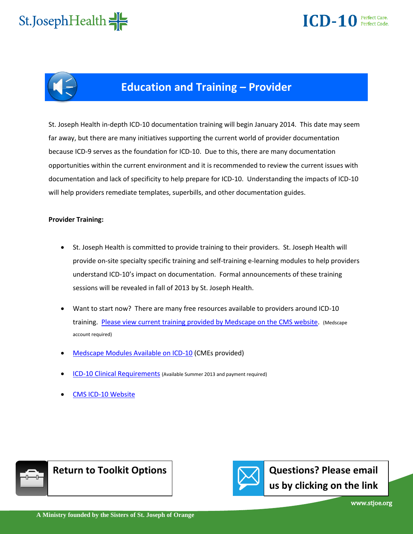<span id="page-7-0"></span>





#### **Education and Training – Provider**

St. Joseph Health in-depth ICD-10 documentation training will begin January 2014. This date may seem far away, but there are many initiatives supporting the current world of provider documentation because ICD-9 serves as the foundation for ICD-10. Due to this, there are many documentation opportunities within the current environment and it is recommended to review the current issues with documentation and lack of specificity to help prepare for ICD-10. Understanding the impacts of ICD-10 will help providers remediate templates, superbills, and other documentation guides.

#### **Provider Training:**

- St. Joseph Health is committed to provide training to their providers. St. Joseph Health will provide on-site specialty specific training and self-training e-learning modules to help providers understand ICD-10's impact on documentation. Formal announcements of these training sessions will be revealed in fall of 2013 by St. Joseph Health.
- Want to start now? There are many free resources available to providers around ICD-10 training. [Please view current training provided by Medscape on the CMS website.](http://www.cms.gov/Medicare/Coding/ICD10/Downloads/MedscapeModulesAvailableonICD10.pdf) (Medscape account required)
- [Medscape Modules Available on ICD-10](http://www.cms.gov/Medicare/Coding/ICD10/Downloads/MedscapeModulesAvailableonICD10.pdf) (CMEs provided)
- [ICD-10 Clinical Requirements](http://www.aapc.com/ICD-10/ICD-10-physician-documentation.aspx) (Available Summer 2013 and payment required)
- [CMS ICD-10 Website](http://www.cms.gov/Medicare/Coding/ICD10/index.html?redirect=/icd10)



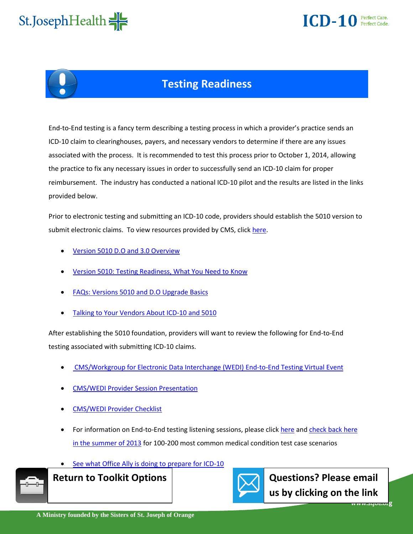<span id="page-8-0"></span>

### $\overline{ICD-10}$  Perfect Care.



### **Testing Readiness**

End-to-End testing is a fancy term describing a testing process in which a provider's practice sends an ICD-10 claim to clearinghouses, payers, and necessary vendors to determine if there are any issues associated with the process. It is recommended to test this process prior to October 1, 2014, allowing the practice to fix any necessary issues in order to successfully send an ICD-10 claim for proper reimbursement. The industry has conducted a national ICD-10 pilot and the results are listed in the links provided below.

Prior to electronic testing and submitting an ICD-10 code, providers should establish the 5010 version to submit electronic claims. To view resources provided by CMS, click [here.](http://www.cms.gov/Regulations-and-Guidance/HIPAA-Administrative-Simplification/Versions5010andD0/Version_5010-Industry-Resources.html?redirect=/Medicare/Coding/ICD10/Version_5010.html)

- [Version 5010 D.O and 3.0 Overview](http://www.cms.gov/Regulations-and-Guidance/HIPAA-Administrative-Simplification/Versions5010andD0/Downloads/w5010BasicsFctSht.pdf)
- [Version 5010: Testing Readiness, What You Need to Know](http://www.cms.gov/Medicare/Coding/ICD10/Downloads/Versions5010TestingReadiness.pdf)
- [FAQs: Versions 5010 and D.O Upgrade Basics](http://www.cms.gov/Medicare/Coding/ICD10/Downloads/Versions5010D0FAQs.pdf)
- [Talking to Your Vendors About ICD-10 and 5010](http://www.cms.gov/Medicare/Coding/ICD10/Downloads/ICD10TalkingtoVendorforMedicalPractices.pdf)

After establishing the 5010 foundation, providers will want to review the following for End-to-End testing associated with submitting ICD-10 claims.

- [CMS/Workgroup for Electronic Data Interchange \(WEDI\) End-to-End Testing Virtual Event](http://www.wedi.org/forms/meeting/MeetingFormPublic/view?id=220AC00000156)
- [CMS/WEDI Provider Session Presentation](http://www.wedi.org/forms/uploadFiles/26BE800000156.filename.PROVIDER_PDF.pdf)
- [CMS/WEDI Provider Checklist](http://www.wedi.org/forms/uploadFiles/26C1E00000029.filename.PROVIDER_Checklists.pdf)
- For information on End-to-End testing listening sessions, please click [here](http://www.cms.gov/Regulations-and-Guidance/HIPAA-Administrative-Simplification/Affordable-Care-Act/End-to-End-Testing.html) an[d check back here](http://www.himss.org/library/icd-10/national-pilot-program?navItemNumber=13477)  [in the summer of 2013](http://www.himss.org/library/icd-10/national-pilot-program?navItemNumber=13477) for 100-200 most common medical condition test case scenarios
- [See what Office Ally is doing to prepare for ICD-10](http://www.officeally.com/resourcecenter.aspx?id=103#ICD-10)



**[Return to Toolkit Options](#page-1-0)**

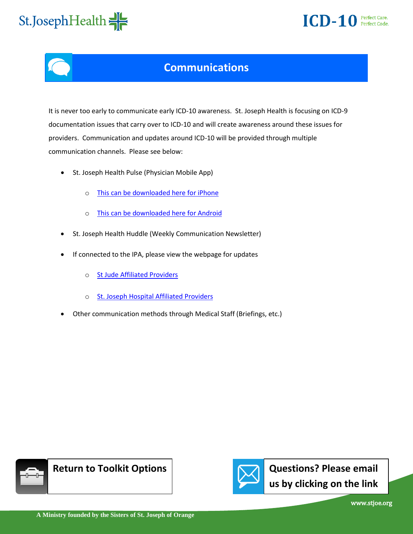### **ICD-10** Perfect Care.

<span id="page-9-0"></span>

#### **Communications**

It is never too early to communicate early ICD-10 awareness. St. Joseph Health is focusing on ICD-9 documentation issues that carry over to ICD-10 and will create awareness around these issues for providers. Communication and updates around ICD-10 will be provided through multiple communication channels. Please see below:

- St. Joseph Health Pulse (Physician Mobile App)
	- o [This can be downloaded here for iPhone](https://itunes.apple.com/us/app/id530591096?mt=8&ign-mpt=uo%3D4)
	- o [This can be downloaded here for Android](http://droidmill.com/sjh-pulse-909842.html)
- St. Joseph Health Huddle (Weekly Communication Newsletter)
- If connected to the IPA, please view the webpage for updates
	- o [St Jude Affiliated Providers](http://www.sjhhnss.org/)
	- o St. Joseph Hospital Affiliated Providers
- Other communication methods through Medical Staff (Briefings, etc.)



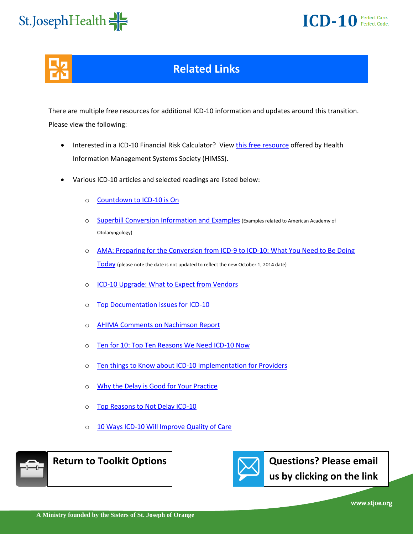

<span id="page-10-0"></span>

### **Related Links**

There are multiple free resources for additional ICD-10 information and updates around this transition. Please view the following:

- Interested in a ICD-10 Financial Risk Calculator? View [this free resource o](http://www.himss.org/library/icd-10/playbook?navItemNumber=13480)ffered by Health Information Management Systems Society (HIMSS).
- Various ICD-10 articles and selected readings are listed below:
	- o [Countdown to ICD-10 is On](http://www.healthleadersmedia.com/page-2/TEC-285382/Countdown-to-ICD10-is-On)
	- o [Superbill Conversion Information and Examples](http://www.entnet.org/Practice/Superbills-for-ICD-9-CM-and-ICD-10.cfm) (Examples related to American Academy of Otolaryngology)
	- o [AMA: Preparing for the Conversion from ICD-9 to ICD-10: What You Need to Be Doing](http://www.ama-assn.org/ama1/pub/upload/mm/399/icd9-icd10-conversion.pdf)  [Today](http://www.ama-assn.org/ama1/pub/upload/mm/399/icd9-icd10-conversion.pdf) (please note the date is not updated to reflect the new October 1, 2014 date)
	- o **[ICD-10 Upgrade: What to Expect from Vendors](http://www.physbiztech.com/news/icd-10-upgrade-what-expect-vendors)**
	- o [Top Documentation Issues for ICD-10](http://journal.ahima.org/2011/04/18/top-documentation-issues-for-icd-10/)
	- o [AHIMA Comments on Nachimson Report](http://www.ahima.org/downloads/pdfs/resources/nachimson.pdf)
	- o [Ten for 10: Top Ten Reasons We Need ICD-10 Now](http://www.ahima.org/downloads/pdfs/pr/Tenfor10.pdf)
	- o [Ten things to Know about ICD-10 Implementation for Providers](http://www.deloitte.com/assets/Dcom-UnitedStates/Local%20Assets/Documents/us_TopTenThingsAbout%20ICD-10_030113.pdf)
	- o [Why the Delay is Good for Your Practice](http://www.poweryourpractice.com/icd-10-why-the-delay-is-good-for-practices/)
	- o [Top Reasons to Not Delay ICD-10](http://journal.ahima.org/2012/02/22/ten-reasons-to-not-delay-icd-10/)
	- 10 Ways ICD-10 Will Improve Quality of Care







**[Questions? Please email](mailto: ICD10@stjoe.org)  us by clicking on the link**

www.stjoe.org